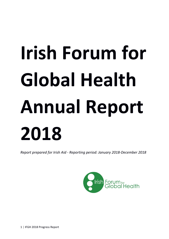# **Irish Forum for Global Health Annual Report 2018**

*Report prepared for Irish Aid - Reporting period: January 2018-December 2018*

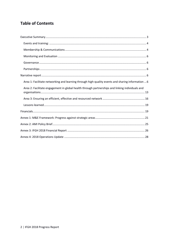# **Table of Contents**

| Area 1: Facilitate networking and learning through high-quality events and sharing information  6 |  |
|---------------------------------------------------------------------------------------------------|--|
| Area 2: Facilitate engagement in global health through partnerships and linking individuals and   |  |
|                                                                                                   |  |
|                                                                                                   |  |
|                                                                                                   |  |
|                                                                                                   |  |
|                                                                                                   |  |
|                                                                                                   |  |
|                                                                                                   |  |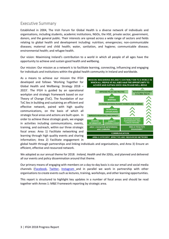# <span id="page-2-0"></span>Executive Summary

Established in 2004, The Irish Forum for Global Health is a diverse network of individuals and organisations, including students, academic institutions, NGOs, the HSE, private sector, government, donors, and the general public. Their interests are spread across a wide range of sectors and fields relating to global health and development including: nutrition; emergencies; non-communicable diseases; maternal and child health; water, sanitation, and hygiene; communicable disease; environmental health; and refugee health.

Our vision: Maximising Ireland's contribution to a world in which all people of all ages have the opportunity to achieve and sustain good health and wellbeing.

Our mission: Our mission as a network is to facilitate learning, connecting, influencing and engaging for individuals and institutions within the global health community in Ireland and worldwide.

As a means to achieve our mission the IFGH developed and follows 'Working Together for Global Health and Wellbeing: Strategy 2018 – 2023'. The IFGH is guided by an operational workplan and strategic framework based on our Theory of Change (ToC). The foundation of our ToC lies in building and sustaining an efficient and effective network, paired with high quality communications, on the basis of which all strategic focal areas and actions are built upon. In order to achieve these strategic goals, we engage in activities including communications, events, training, and outreach, within our three strategic focal areas: Area 1) Facilitate networking and learning through high quality events and sharing information; Area 2) Facilitate engagement in



global health through partnerships and linking individuals and organisations, and Area 3) Ensure an efficient, effective and resourced network.

We adopted as our annual theme for 2018: *Ireland, Health and the SDGs,* and planned and delivered all our events and policy dissemination around that theme.

Our primary means of engaging with members on a day-to-day basis is via our email and social media channels [\(Facebook,](https://www.facebook.com/IFGlobalHealth/) [Twitter,](https://twitter.com/ifglobalhealth?lang=en) [Instagram](https://www.instagram.com/irish_forum_for_global_health/) and in parallel we work in partnership with other organisations to create events such as lectures, training, workshops, and other learning opportunities.

This report is structured to highlight key updates in a number of focal areas and should be read together with Annex 1: M&E Framework reporting by strategic area.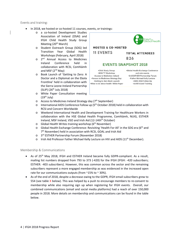<span id="page-3-0"></span>Events and training:

- In 2018, we hosted or co-hosted 11 courses, events, or trainings:
	- o a co-hosted Development Studies Association of Ireland (DSAI) and IFGH Child Health Study Group Meeting  $(20<sup>th</sup> March)$
	- o Student Outreach Group (SOG) led Transition Year Global Health Workshops (February, April 2018)
	- o 2nd Annual Access to Medicines Ireland Conference held in collaboration with RCSI, Comhlámh and MSF  $(2^{nd}$  May)
	- o Book Launch of 'Getting to Zero: A Doctor and a Diplomat on the Ebola Frontline' held in collaboration with the Sierra Leone-Ireland Partnership  $(SLIP)$  (26<sup>th</sup> July 2018)
	- o White Paper Consultation meeting  $(19<sup>th</sup>$  July)
	- o Access to Medicines Ireland Strategy day (7th September)
	- International AIDS Conference Follow up (5<sup>th</sup> October 2018) held in collaboration with RCSI and Concern Worldwide
	- o Weekend International Health and Development Training for Healthcare Workers in collaboration with the HSE Global Health Programme, Comhlámh, NUIG, ESTHER Ireland, MSF Ireland, VSO and Irish Aid (12-14th<sup>th</sup> October)
	- $\circ$  Global Health Writes training workshop ( $6<sup>th</sup>$  November)
	- o Global Health Exchange Conference: Revisiting 'Health For All' in the SDG era (6<sup>th</sup> and 7<sup>th</sup> November) held in association with RCSI, GOAL and Irish Aid
	- o 3rd ESTHER Partnership Forum (November 2018)
	- $\circ$  Irish Aid Professor Father Michael Kelly Lecture on HIV and AIDS (11<sup>th</sup> December).

#### <span id="page-3-1"></span>Membership & Communications

- As of 25<sup>th</sup> May 2018, IFGH and ESTHER Ireland became fully GDPR-compliant. As a result, mailing list numbers dropped from 793 to 373 (-420) for the IFGH (IFGH: -420 subscribers; ESTHER: -403 subscribers). However, this was common across the sector and the remaining subscribers represent a more engaged membership as was evidenced in the increased open rate for our communications outputs (from  $\sim$ 15% to  $\sim$  30%).
- As of the end of 2018, despite a decrease owing to the GDPR, IFGH email subscribers grew to 554 (see table  $X$  below). This was helped by a push to encourage members to re-consent to membership while also requiring sign up when registering for IFGH events. Overall, our combined communications (email and social media platforms) had a reach of over 150,000 people in 2018. More details on membership and communications can be found in the table below.



\*Access to Medicines Ireland \*Access to Medicines Strategy Day .Getting to Zero Book Launch .What to do about health: White Paper **\*3rd ESTHER Partnership Forum** •Father Michael Kelly Lecture .AIDS 2018 Follow-Up •Achill Island Training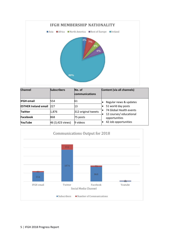

| <b>Channel</b>                  | <b>Subscribers</b> | No. of<br>communications | Content (via all channels)                         |
|---------------------------------|--------------------|--------------------------|----------------------------------------------------|
| <b>IFGH email</b>               | 554                | 61                       | Regular news & updates                             |
| <b>ESTHER Ireland email</b> 227 |                    | 13                       | 51 world day posts                                 |
| <b>Twitter</b>                  | 1,876              | 312 original tweets      | 74 Global Health events<br>12 courses/ educational |
| Facebook                        | 868                | 75 posts                 | opportunities                                      |
| <b>YouTube</b>                  | 46 (3,423 views)   | 9 videos                 | 42 Job opportunities                               |

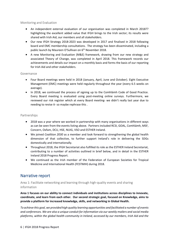#### <span id="page-5-0"></span>Monitoring and Evaluation

- An independent external evaluation of our organisation was completed in March 2018?? highlighting the excellent added value that IFGH brings to the Irish sector; its results were shared with Irish Aid, our members and all stakeholders.
- Our new IFGH Strategy 2018-2023 was developed in 2017 and finalised in 2018 following board and EMC membership consultations. The strategy has been disseminated, including a public launch by Maureen O'Sullivan on 6<sup>th</sup> November 2018.
- A new Monitoring and Evaluation (M&E) framework, drawing from our new strategy and associated Theory of Change, was completed in April 2018. This framework records our achievements and details our impact on a monthly basis and forms the basis of our reporting for Irish Aid and other stakeholders.

#### <span id="page-5-1"></span>Governance

- Four Board meetings were held in 2018 (January, April, June and October). Eight Executive Management (EMC) meetings were held regularly throughout the year (every 6.5 weeks on average).
- In 2018, we continued the process of signing up to the Comhlámh Code of Good Practice. Every Board meeting is evaluated using post-meeting online surveys. Furthermore, we reviewed our risk register which at every Board meeting- we didn't really last year due to needing to revise it- so maybe rephrase this .

#### <span id="page-5-2"></span>Partnerships

- 2018 was a year where we worked in partnership with many organisations in different ways as can be seen from the events listing above. Partners included RCSI, GOAL, Comhlámh, MSF, Concern, Oxfam, DCU, HSE, NUIG, VSO and ESTHER Ireland.
- We joined *Coalition 2030* as a member and look forward to strengthening the global health dimension of that collective, to further support Ireland's role in delivering the SDGs domestically and internationally.
- Throughout 2018, the IFGH Secretariat also fulfilled its role as the ESTHER Ireland Secretariat, contributing to a number of activities outlined in brief below, and in detail in the ESTHER Ireland 2018 Progress Report.
- We continued as the Irish member of the Federation of European Societies for Tropical Medicine and International Health (FESTMIH) during 2018.

# <span id="page-5-3"></span>Narrative report

<span id="page-5-4"></span>Area 1: Facilitate networking and learning through high-quality events and sharing information

**Area 1 focuses on our ability to connect individuals and institutions across disciplines to innovate, coordinate, and learn from each other. Our second strategic goal, focused on Knowledge, aims to provide a platform for increased knowledge, skills, and networking in Global Health.**

*To achieve this goal, we provided high quality learning opportunities and facilitated a number of events and conferences. We are also a unique conduit for information via our weekly mailers and social media platforms, within the global health community in Ireland, accessed by our members, Irish Aid and the*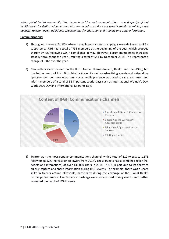*wider global health community. We disseminated focused communications around specific global health topics for dedicated issues, and also continued to produce our weekly emails containing news updates, relevant news, additional opportunities for education and training and other information.*

#### **Communications:**

- 1) Throughout the year 61 IFGH eForum emails and targeted campaigns were delivered to IFGH subscribers. IFGH had a total of 793 members at the beginning of the year, which dropped sharply by 420 following GDPR compliance in May. However, Forum membership increased steadily throughout the year, resulting a total of 554 by December 2018. This represents a change of -30% over the year.
- 2) Newsletters were focused on the IFGH Annual Theme (Ireland, Health and the SDGs), but touched on each of Irish Aid's Priority Areas. As well as advertising events and networking opportunities, our newsletters and social media presence was used to raise awareness and inform members of a total of 51 important World Days such as International Women's Day, World AIDS Day and International Migrants Day.



3) Twitter was the most popular communications channel, with a total of 312 tweets to 1,678 followers (a 12% increase on followers from 2017). These tweets had a combined reach (retweets and interactions) of over 130,000 users in 2018. This is in part due to its ability to quickly capture and share information during IFGH events. For example, there was a sharp spike in tweets around all events, particularly during the coverage of the Global Health Exchange Conference. Event-specific hashtags were widely used during events and further increased the reach of IFGH tweets.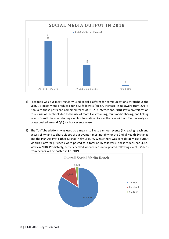

- 4) Facebook was our most regularly used social platform for communications throughout the year. 75 posts were produced for 862 followers (an 8% increase in followers from 2017). Annually, these posts had combined reach of 21, 297 interactions. 2018 saw a diversification to our use of Facebook due to the use of more livestreaming, multimedia sharing, and linking in with Eventbrite when sharing events information. As was the case with our Twitter analysis, usage peaked around Q4 (our busy events season).
- 5) The YouTube platform was used as a means to livestream our events (increasing reach and accessibility) and to share videos of our events – most notably for the Global Health Exchange and the Irish Aid Prof Father Michael Kelly Lecture. Whilst there was considerably less output via this platform (9 videos were posted to a total of 46 followers), these videos had 3,423 views in 2018. Predictably, activity peaked when videos were posted following events. Videos

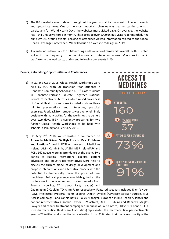- 6) The IFGH website was updated throughout the year to maintain content in line with events and up-to-date news. One of the most important changes was clearing up the calendar, particularly for 'World Health Days' the websites most-visited page. On average, the website had ~541 unique visitors per month. This spiked to over 1000 unique visitors per month during our busy Q4, around events, peaking as attendees viewed information related to the Global Health Exchange Conference. We will focus on a website redesign in 2019.
- 7) As can be noted from our 2018 Monitoring and Evaluation Framework, overall the IFGH noted spikes in the frequency of communications and interaction *across all our social media platforms* in the lead up to, during and following our events in Q4.

#### **Events, Networking Opportunities and Conferences:**

- 1) In Q1 and Q2 of 2018, Global Health Workshops were held by SOG with 90 Transition Year Students in Donabate Community School and 60 6<sup>th</sup> Class Students in Donabate-Portrane Educate Together National School, respectively. Activities which raised awareness of Global Health issues were included such as three minute presentations and interactive, practical exercises. Feedback from students was overwhelmingly positive with many asking for the workshops to be held over two days. IFGH is currently preparing for two further Global Health Workshops to be held with schools in January and February 2019.
- 2) On May  $2^{nd}$ , 2018, we co-hosted a conference on **Access to Medicines "A High Price to Pay: Problems and Solutions"**, held in RCSI with Access to Medicines Ireland (AMI), Comhlámh, UAEM, MSF Ireland/UK and RCSI. 160 guests were in attendance at the event. Two panels of leading international experts, patient advocates and industry representatives were held to discuss the current model of drugs development and propose interventions and alternative models with the potential to dramatically lower the prices of new medicines. Political presence was highlighted at the conference in the opening and closing remarks from Brendan Howling, TD (Labour Party Leader) and



Caoimhghín Ó Caoláin, TD, (Sinn Fein) respectively. Featured speakers included Ellen 't Hoen (LLM, Intellectual Property Rights Expert), Dimitri Eynikel (Advocacy Advisor Europe, MSF Access Campaign), and Yannis Natsis (Policy Manager, European Public Health Alliance) and patient representatives Robbie Lawlor (HIV activist, ACTUP Dublin) and Babalwa Maglas (lawyer and cancer treatment campaigner, Republic of South Africa). Oliver O'Connor (CEO, Irish Pharmaceutical Healthcare Association) represented the pharmaceutical perspective. 37 guests (23%) filled and submitted an evaluation form. 91% rated that the overall quality of the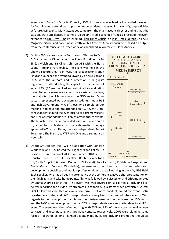event was of 'good' or 'excellent' quality. 73% of those who gave feedback attended the event for 'learning and networking' opportunities. Attendees suggested inclusion of group activities at future AMI events. Many attendees came from the pharmaceutical sector and felt that the sessions were unbalanced in terms of viewpoint. Media coverage from, as a result of the event extended to [RTE Drive Time](https://www.rte.ie/radio/radioplayer/rteradiowebpage.html#!rii=b9_10870106_83_02-05-2018_) (~02:09:00), [Irish Times Article,](https://www.irishtimes.com/news/ireland/irish-news/fear-and-secrecy-used-to-drive-medicine-costs-conference-told-1.3481794) an [Irish Times Editorial,](https://www.irishtimes.com/opinion/editorial/the-irish-times-view-on-drug-prices-big-pharma-s-hostages-1.3486076) a Focus Magazine article, and two Global Health Writes Articles. A policy document based on output from the conference and further work was published in Winter 2018 (See Annex 2).

- 3) On July 26<sup>th,</sup> we co-hosted a Book Launch 'Getting to Zero: A Doctor and a Diplomat on the Ebola Frontline' by Dr Sinéad Walsh and. Dr Oliver Johnson OBE with the Sierra Leone – Ireland Partnership. The event was held in the Cheyne Lecture theatre in RCSI. RTÉ Broadcaster Marian Finucane launched the event, followed by a discussion and Q&A with the authors and a reception. 180 guests registered to attend filling the capacity of the venue, of which 23%. (42 guests) filled and submitted an evaluation form. Audience members came from a variety of sectors, the majority of which were from the NGO sector. Other sectors represented were academia, students, media, HSE and Irish Government. 74% of those who completed our feedback had never before attended an IFGH event. 100% of respondents found the event useful or extremely useful and 98% of respondents are likely to attend future events. The launch of the event coincided with, and contributed to, a number of features in the Irish media: coverage appeared i[n The Irish Times,](https://www.irishtimes.com/opinion/ruadh%C3%A1n-mac-cormaic-how-we-failed-sierra-leone-in-ebola-crisis-1.3592229) the [Irish Independent,](https://www.independent.ie/life/health-wellbeing/health-workers-were-dying-left-right-and-centre-it-was-one-of-the-most-difficult-things-irelands-ambassador-to-sierra-leone-during-the-ebola-epidemic-37124354.html) Belfast [Telegraph,](https://www.belfasttelegraph.co.uk/life/weekend/what-it-feels-like-to-fight-the-ebola-crisis-in-africa-37133116.html) [The Big Issue,](https://www.bigissue.com/culture/books/a-doctor-and-a-diplomat-talk-life-on-the-frontline-of-the-ebola-epidemic/) [RTÉ Radio One](https://www.rte.ie/radio1/marian-finucane/programmes/2018/0721/980198-marian-finucane-saturday-21-july-2018/) and a segment on Newstalk.
- 4) On the 5<sup>th</sup> October, the IFGH in association with Concern Worldwide and RCSI hosted the 'Highlights and Follow-Up Session to: International AIDS Conference 2018' in the Houston Theatre, RCSI. Our speakers, Robbie Lawlor (ACT



UP/Youth Stop AIDS), Susan Donlon (HIV Ireland), Jack Lambert (UCD-Mater Hospital) and Breda Gahan (Concern Worldwide), represented the diversity of patient advocates, development specialists and medical professionals who are all working in the HIV/AIDS field. Each speaker, who had all been in attendance at the conference, gave a short presentation on their highlights and take-home points. This was followed by a discussion and Q&A moderated by Emma Warwick (Irish Aid). The event was well covered on social media, including livetwitter reporting and a video live stream via Facebook. 50 guests attended of which 21 guests (42%) filled and submitted an evaluation form. 100% of respondents found the event useful or extremely useful, and 86% of respondents are very likely to attended future events. With regards to the makeup of our audience, the most-represented sectors were the NGO sector and the NGO non- development sector. 57% of respondents were new attendees to an IFGH event. The event was a hub of networking, with 65% and 83% of those attending making new contacts, and reconnecting with previous contacts respectively. 100% were planning some form of follow-up actions. Planned actions made by guests including promoting the global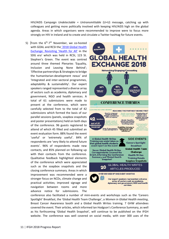HIV/AIDS Campaign *Undetectable = Untransmittable* (U=U) message, catching up with colleagues and getting more politically involved with keeping HIV/AIDS high on the global agenda. Areas in which organisers were recommended to improve were to focus more strongly on HIV in Ireland and to create and circulate a Twitter hashtag for future events.

5) From the  $6<sup>th</sup>-7<sup>th</sup>$  November, we co-hosted with GOAL and RCSI the '2018 Global Health [Exchange: Revisiting 'Health for All'](https://globalhealth.ie/wp-content/uploads/2018/10/Updated-GHE-Conference-Programme.pdf) in the SDG era' which was held in RCSI, 123 St. Stephen's Green. The event was centred around three themed Plenaries 'Equality, Inclusion and Leaving None Behind'; 'Effective partnerships & Strategies to bridge the humanitarian-development nexus' and 'Integrated and inter-sectoral programmes, adaptability & sustainability'. Our expert speakers ranged represented a diverse array of sectors such as academia, diplomacy and government, NGO and health services. A total of 61 submissions were made to present at the conference, which were carefully selected from to the total of 42 submissions which formed the basis of our parallel sessions (panels, soapbox snapshots and poster presentations) held on both days of the conference. 96 guests registered to attend of which 45 filled and submitted an event evaluation form. 88% found the event 'useful' or 'extremely useful'. 84% of respondents are 'very likely to attend future events'. 96% of respondents made new contacts, and 85% planned on following up with their contacts from the conference. Qualitative feedback highlighted elements of the conference which were appreciated such as the soapbox snapshots and the closing conference summary. Areas in which improvement was recommended were a stronger focus on NCDs, climate change and practical activities; improved signage and navigation between rooms and more advance notice for submissions. The



conference also facilitated a number of mini-events and workshops such as the 'Careers Spotlight' Breakfast, the 'Global Health Team Challenge', a *Women in Global Health meeting*, Breast Cancer Awareness booth and a Global Health Writes training. 7 GHW attendees covered the event. Their articles, which informed Ian Hodgson's Conference Summary, as well as his forthcoming 'Global Health Snapshot', will continue to be published on the IFGH website. The conference was well covered on social media, with over 300 uses of the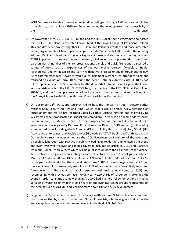#GHEConference hashtag. Livestreaming (and recording/archiving) of all sessions held in the main plenary theatre via our IFGH YouTube broadened the coverage reach and accessibility of the conference.

- 6) On November 29th, 2019, ESTHER Ireland and the HSE Global Health Programme co-hosted the 3rd ESTHER Ireland Partnership Forum, held at the Royal College of Physicians, Ireland. This one-day event brought together ESTHER Ireland Partners, grantees and those interested in learning more about health partnerships. Ruari de Burca (Irish Aid) provided the opening address, Dr Shams Syed (WHO) gave a keynote address and summary of the day, and our ESTHER partners showcased lessons learned, challenges and opportunities from their partnerships. A number of plenary presentations, panels and quick-fire rounds discussed a variety of topics such as 'Experiences of the Partnership Journey', 'Models of Health Partnerships' and 'What can Ireland learn?' with networking sessions held throughout the day. 82 registered attendees (fewer arrived due to inclement weather). 25 attendees filled and returned an evaluation form. 100% found the event useful or extremely useful. 100% had follow-up actions, and 80% were likely to attend an ESTHER Ireland event again. The Forum saw the Irish launch of the ESTHER EFFECt Tool, the opening of the ESTHER Small Grant Fund 2018/19, and the formal presentation of wall plaques to the two most recent partnerships, the Gorey-Malawi Health Partnership and Edenpark-Malawi Partnership.
- 7) On December  $11<sup>th</sup>$ , we supported Irish Aid to host the Annual Irish Aid Professor Father Michael Kelly Lecture on HIV and AIDS, which took place at Smock Alley, featuring an introductory address via pre-recorded video by Father Michael himself, and chaired by Dil Wickremasinghe (Broadcaster, journalist and comedian). There was an opening address from Ciarán Cannon, TD (Minister of State for the Diaspora and International Development. Our keynote speech was given by Dr. Oanh Khuat (Executive Director, SCDI Vietnam), followed by a moderated panel including Nicola Brennan (Director, Policy Unit, Irish Aid), Rory O'Neill (HIV Activist and entertainer) and Robbie Lawlor (HIV Activist, ACTUP Dublin and Youth Stop AIDS). Our audience reach was extended via the [GCN livestream](https://www.facebook.com/gaycommunitynews/videos/372477383560738/) on Facebook of the event and through collaboration with Irish Aid in publicity leading up to, during, and following the event. The event was well received and media coverage included an [article](https://gcn.ie/stigma-breeds-silence-panti-annual-lecture-hiv-aids/) in GCN, and 2 articles from our Global Health Writers which will be published on both the IFGH and Father Michael Kelly websites. 70 guests representing a variety of sectors attended. Special guests included Maureen O'Sullivan TD, and HE Sekhulumi Paul Ntsoaole, Ambassador of Lesotho. 23 (33%) of our guests filled and submitted an evaluation form. 100% of those who gave feedback found the event 'useful' or 'extremely useful' and 91% of respondents are 'very likely to attend future events'. The event was a platform for both making new contacts (52%) and reconnecting with previous contacts (70%). Nearly two thirds of respondents attended the event in order to 'stimulate new thinking'. 100% had planned follow-up actions including spreading awareness of what they had heard on the evening; joining groups represented on the evening such as ACT UP, and learning more about HIV and AIDS development.
- 8) [Finger on the Pulse](https://globalhealth.ie/global-health-writes/finger-on-the-pulse/) is the Irish Forum for Global Health's annual GHW publication composed of articles written by a team of volunteer Citizen Journalists, who have given their expertise and viewpoints on the latest issues and events in the field of Global Health.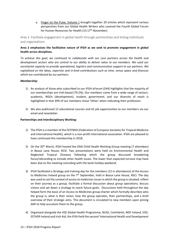a. [Finger on the Pulse: Volume 1](https://globalhealth.ie/wp-content/uploads/2018/08/Finger-on-the-Pulse-Final.pdf) brought together 20 articles which represent various perspectives from our Global Health Writers who covered the Fourth Global Forum for Human Resources for Health (13-17<sup>th</sup> November).

<span id="page-12-0"></span>Area 2: Facilitate engagement in global health through partnerships and linking individuals and organisations

#### **Area 2 emphasises the facilitative nature of IFGH as we seek to promote engagement in global health across disciplines.**

*To achieve this goal, we continued to collaborate with our core partners across the health and development sectors who are central to our ability to deliver value to our members. We used our secretariat capacity to provide operational, logistics and communication support to our partners. We capitalised on the ideas, expertise and in-kind contributions such as time, venue space and finances which are contributed by our partners.* 

#### **Membership:**

- 1) An analysis of those who subscribed to our IFGH eForum (544) highlights that the majority of our memberships are Irish-based (79.2%). Our members come from a wide range of sectors: academic, NGOs (development), student, government, and our diversity of reach is highlighted in that 39% of our members chose 'Other' when indicating their profession.
- 2) We also publicised 12 educational courses and 42 job opportunities to our members via our email and newsletter.

#### **Partnerships and Interdisciplinary Working:**

- 1) The IFGH is a member of the FESTMIH (Federation of European Societies for Tropical Medicine and International Health), which is a non-profit international association. IFGH are pleased to have continued this membership in 2018.
- 2) On the 20<sup>th</sup> March, IFGH hosted the DSAI Child Health Working Group meeting (7 attendees) in Beaux Lane House, RCSI. Two presentations were held on Environmental Health and Neglected Tropical Diseases following which the group discussed broadening focus/rebranding to include other health issues. The lower than expected turnout may have been due to the meeting coinciding with the bank holiday weekend.
- 3) IFGH facilitated a Strategy and training day for the members (12 in attendance) of the Access to Medicines Ireland group on the  $7<sup>th</sup>$  September, held in Beaux Lane House, RSCI. The day was used to set the context of access to medicines issues in which the group issituated, reflect on their journey as a group; facilitate a formal discussion about group operations; discuss visions and set down a strategy to reach future goals. Discussions held throughout the day helped form the basis of an Access to Medicines group charter which formally describes who the group is, what is their vision, how the group operates, their partnerships, and a brief overview of their strategic aims. This document is circulated to new members upon joining AMI to help accustom them to the group.
- 4) Organised alongside the HSE Global Health Programme, NUIG, Comhlámh, MSF Ireland, VSO, ESTHER Ireland and Irish Aid, the IFGH held the second 'International Health and Development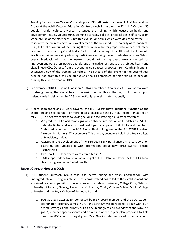Training for Healthcare Workers' workshop for HSE staff hosted by the Achill Training Working Group at the Achill Outdoor Education Centre on Achill Island on the 12<sup>th</sup>- 14<sup>th</sup> October. 35 people (mainly healthcare workers) attended the training, which focused on health and development issues, volunteering, working overseas, policies, practical tips, self-care, team work, etc. 34 of the attendees submitted evaluation forms which were designed by the HSE to identify the main strengths and weaknesses of the weekend. The majority of respondents (>30) felt that as a result of the training they were now 'better prepared to work or volunteer in resource poor settings' and had a 'better understanding of health and development'. Practical activities were singled out by participants as being the most valuable sessions. Whilst overall feedback felt that the weekend could not be improved, areas suggested for improvement were a less packed agenda, and alternative sessions such as refugee health and disabilities/NCDs. Outputs from the event include photos, a podcast from Comhlámh and an extensive video of the training workshop. The success of this event for the second-year running has prompted the secretariat and the co-organisers of this training to consider running this twice a year in 2019.

- 5) In November 2018 IFGH joined Coalition 2030 as a member of Coalition 2030. We look forward to strengthening the global health dimension within this collective, to further support Ireland's role in delivering the SDGs domestically, as well as internationally.
- 6) A core component of our work towards the IFGH Secretariat's additional function as the ESTHER Ireland Secretariat. (For more details, please see the ESTHER Ireland Annual report for 2018). In brief, we took the following actions to facilitate high-quality partnerships:
	- a. We produced 13 email campaigns which shared information and updates on ESTHER Ireland activities and international health partnerships with ESTHER Ireland members.
	- b. Co-hosted along with the HSE Global Health Programme the  $3<sup>rd</sup>$  ESTHER Ireland Partnerships Forum (29<sup>th</sup> November). This one-day event was held in the Royal College of Physicians, Ireland.
	- c. Assisted in the development of the European ESTHER Alliance online collaboration platform, and updated it with information about new 2018 ESTHER Ireland Partnerships.
	- d. Two new ESTHER partners were accredited in 2018.
	- e. IFGH supported the transition of oversight of ESTHER Ireland from IFGH to HSE Global Health Programme on Global Health.

#### **Student Outreach Groups (SOGs):**

- 1) Our Student Outreach Group was also active during the year. Coordination with undergraduate and postgraduate students across Ireland has to led to the establishment and sustained relationships with six universities across Ireland: University College Cork; National University of Ireland, Galway; University of Limerick; Trinity College Dublin; Dublin College University and the Royal College of Surgeons Ireland.
	- a. SOG Strategy 2018-2020: Composed by IFGH board member and the SOG student coordinator Rosemary James (NUIG), this strategy was developed to align with IFGH overall strategies and priorities. This document gives and overview of the SOG, it's goals', member specifications' and an outline of the 2-year plan proposed to help meet the SOG meet its' target goals. Year One includes improved communications,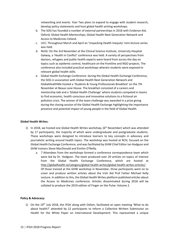networking and events. Year Two plans to expand to engage with student research, develop policy statements and host global health writing workshops.

- b. The SOG has founded a number of external partnerships in 2018 with Evidence Aid, Oxford; Global Health Mentorships; Global Health Next Generation Network and Access to Medicines Ireland.
- c. UCC: Throughout March and April an 'Unpacking Health Inequity' mini-lecture series was held.
- d. NUIG: On the 3rd November at the Clinical Science Institute, University Hospital Galway, a 'Health in Conflict' conference was held. A variety of perspectives from doctors, refugees and public health experts were heard from across the day on topics such as epidemic control, healthcare on the frontline and NGO projects. The conference also included practical workshops wherein students were exposed to relevant global health skills.
- e. Global Health Exchange Conference: during the Global Health Exchange Conference, the SOG in association with Global Health Next Generation Network and GlobalHealthMe hosted a 'Students & Young Professionals Breakfast' on the 7th November at Beaux Lane House. The breakfast consisted of a careers and mentorship talk and a 'Global Health Challenge' where students competed in teams to find economic, health conscious and innovative solutions to a fictional air pollution crisis. The winner of the team challenge was awarded in a prize giving during the closing session of the Global Health Exchange highlighting the importance presence and potential impact of young people in the field of Global Health.

#### **Global Health Writes:**

- 1) In 2018, we hosted one Global Health Writes workshop,  $6<sup>th</sup>$  November) which was attended by 17 participants, the majority of which were undergraduate and postgraduate students. These workshops were designed to introduce learners to key concepts in advocacy and journalistic writing around health topics. The workshop was hosted at RCSI, focused on the Global Health Exchange Conference, and was facilitated by GHW Chief Editor Ian Hodgson and GHW trainers Steve MacDonald and Eimhin O'Reilly.
	- a. 7 Attendees from the workshops formed a conference correspondence team which were led by Dr. Hodgson. The team produced over 20 articles on topics of interest from the Global Health Exchange Conference, which are hosted at [http://globalhealth.ie/category/global-health-writes/global-health-writes-articles/.](http://globalhealth.ie/category/global-health-writes/global-health-writes-articles/) Of those trained at the GHW workshop in November, three participants went on to cover and produce written articles about the Irish Aid Prof Father Michael Kelly Lecture. In addition to this, the Global Health Writes platform published articles about the Access to Medicines conference. Articles disseminated during 2018 will be collated to produce the 2019 edition of Finger on the Pulse: Volume 2.

#### **Policy & Advocacy:**

1) On the 19<sup>th</sup> July 2018, the IFGH along with Oxfam, facilitated an open meeting 'What to do about health?' attended by 12 participants to Inform a Collective Written Submission on Health for the White Paper on International Development. This represented a unique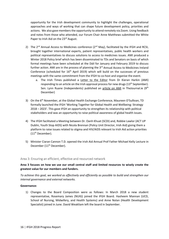opportunity for the Irish development community to highlight the challenges, operational approaches and ways of working that can shape future development policy, priorities and actions. We also gave members the opportunity to attend remotely via Zoom. Using feedback and notes from those who attended, our Forum Chair Anne Matthews submitted the White Paper to Irish Aid on the 23<sup>rd</sup> August.

- 2) The  $2^{nd}$  Annual Access to Medicines conference ( $2^{nd}$  May), facilitated by the IFGH and RCSI, brought together international experts, patient representatives, public health workers and political representatives to discuss solutions to access to medicines issues. AMI produced a Winter 2018 Policy brief which has been disseminated to TDs and Senators on basis of which formal meetings have been scheduled at the Dáil for January and February 2019 to discuss further action. AMI are in the process of planning the 3<sup>rd</sup> Annual Access to Medicines Ireland Conference (scheduled for  $16<sup>th</sup>$  April 2019) which will build on the successes of previous meetings with the same commitment from the IFGH to co-host and organise the event.
	- a. The Irish Times published a [Letter to the Editor](https://www.irishtimes.com/opinion/letters/access-to-medicines-1.3626930) from Dr Kieran Harkin (AMI) responding to an article on the Irish approval process for new drugs  $(13<sup>th</sup> September)$ . Sen. Lynn Ruane (Independents) published an [article on AMI](https://www.thejournal.ie/readme/lynn-ruane-we-must-pioritise-peoples-lives-over-pharmaceutical-companys-profits-4381876-Dec2018/) in TheJournal.ie (9<sup>th</sup> December)
- 3) On the  $6<sup>th</sup>$  November, at the Global Health Exchange Conference, Maureen O'Sullivan, TD formally launched the IFGH 'Working Together for Global Health and Wellbeing: Strategy 2018 – 2023'. This gave IFGH an opportunity to strengthen its relationship with political stakeholders and was an opportunity to raise political awareness of global health issues.
- 4) The IFGH facilitated a Meeting between Dr. Oanh Khuat (SCDI) and, Robbie Lawlor (ACT UP Dublin, Youth Stop AIDS) with Nicola Brennan (Policy Unit Director, Irish Aid) giving them a platform to raise issues related to stigma and HIV/AIDS relevant to Irish Aid action priorities (11th December).
- 5) Minister Ciaran Cannon T.D. opened the Irish Aid Annual Prof Father Michael Kelly Lecture in December (11<sup>th</sup> December).

#### <span id="page-15-0"></span>Area 3: Ensuring an efficient, effective and resourced network

#### **Area 3 focuses on how we use our small central staff and limited resources to wisely create the greatest value for our members and funders.**

*To achieve this goal, we worked as effectively and efficiently as possible to build and strengthen our internal governance and external networks.* 

#### **Governance:**

1) Changes to the Board Composition were as follows: In March 2018 a new student representative, Rosemary James (NUIG) joined the IFGH Board. Hasheem Mannan (UCD, School of Nursing, Midwifery, and Health Systems) and Anne Nolan (Health Development Specialist) joined in June. David Weakliam left the board in September.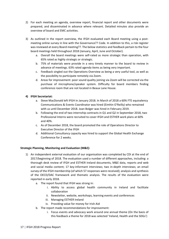- 2) For each meeting an agenda, overview report, financial report and other documents were prepared, and disseminated in advance where relevant. Detailed minutes also provide an overview of board and EMC activities.
- 3) As outlined in the report overview, the IFGH evaluated each Board meeting using a postmeeting online survey in line with the Governance?? Code. In addition to this, a risk register was reviewed at every Board meeting??. The below statistics and feedback pertain to the four board meetings held throughout 2018 (January, April, June and October).
	- a. Overall the board meetings were self-rated as more strategic than operation, with 65% rated as highly strategic or strategic.
	- b. 75% of materials were provide in a very timely manner to the board to review in advance of meetings. 63% rated agenda items as being very important.
	- c. Feedback singled out the Operations Overview as being a very useful tool, as well as the possibility to participate remotely via Zoom.
	- d. Areas for improvement: poor sound quality joining via Zoom will be corrected via the purchase of microphone/speaker system. Difficulty for board members finding conference room that are not located in Beaux Lane House.

#### **4) IFGH Secretariat:**

- a. Steve MacDonald left IFGH in January 2018. In March of 2018 a 60% FTE equivalency Communications & Events Coordinator was hired (Eimhin O'Reilly) who remained with us until December 2018. Joan Bolger was hired in February 2019.
- b. Following the end of two internship contracts in Q1 and Q2 in September 2018, two Professional Interns were recruited to cover IFGH and ESTHER work plans at 60% and 40%.
- c. As of December 2018, the board promoted the role of Operations Director to Executive Director of the IFGH
- d. Additional Consultancy capacity was hired to support the Global Health Exchange Conference for 2 weeks.

#### **Strategic Planning, Monitoring and Evaluation (M&E):**

- 1) An independent external evaluation of our organisation was completed by CDI at the end of 2017/beginning of 2018. The evaluation used a number of different approaches, including: a thorough desk review of IFGH and ESTHER Ireland documents, M&E data, reports and web and social media content; 17 key-informant interviews; two in-depth interviews; an email survey of the IFGH membership (of which 57 responses were received); analysis and synthesis of the OECD/DAC framework and thematic analysis. The results of the evaluation were reported in early 2018.
	- a. The report found that IFGH was strong in:
		- i. Ability to access global health community in Ireland and facilitate collaboration
		- ii. Newsletter, website, workshops, learning events and conferences
		- iii. Managing ESTHER Ireland
		- iv. Providing value for money for Irish Aid
	- b. The report made recommendations for improvement:
		- i. Focus events and advocacy work around one annual theme (On the basis of this feedback a theme for 2018 was selected 'Ireland, Health and the SDGs')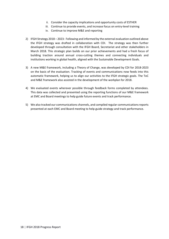- ii. Consider the capacity implications and opportunity costs of ESTHER
- iii. Continue to provide events, and increase focus on entry-level training
- iv. Continue to improve M&E and reporting
- 2) IFGH Strategy 2018 2023: Following and informed by the external evaluation outlined above the IFGH strategy was drafted in collaboration with CDI. The strategy was then further developed through consultation with the IFGH Board, Secretariat and other stakeholders in March 2018. This strategic plan builds on our prior achievements and had a fresh focus of building traction around annual cross-cutting themes and connecting individuals and institutions working in global health, aligned with the Sustainable Development Goals.
- 3) A new M&E framework, including a Theory of Change, was developed by CDI for 2018-2023 on the basis of the evaluation. Tracking of events and communications now feeds into this automatic framework, helping us to align our activities to the IFGH strategic goals. The ToC and M&E framework also assisted in the development of the workplan for 2018.
- 4) We evaluated events wherever possible through feedback forms completed by attendees. This data was collected and presented using the reporting functions of our M&E framework at EMC and Board meetings to help guide future events and track performance.
- 5) We also tracked our communications channels, and compiled regular communications reports presented at each EMC and Board meeting to help guide strategy and track performance.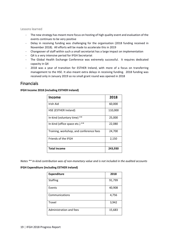<span id="page-18-0"></span>Lessons learned

- The new strategy has meant more focus on hosting of high quality event and evaluation of the events continues to be very positive
- Delay in receiving funding was challenging for the organisation (2018 funding received in November 2018). All efforts will be made to accelerate this in 2019
- Changeover of staff within such a small secretariat has a large impact on implementation
- Q4 is a very intensive period for IFGH Secretariat
- The Global Health Exchange Conference was extremely successful. It requires dedicated capacity in Q4
- 2018 was a year of transition for ESTHER Ireland, with more of a focus on transferring management to the HSE. It also meant extra delays in receiving funding. 2018 funding was received only in January 2019 so no small grant round was opened in 2018

# <span id="page-18-1"></span>Financials

#### **IFGH Income 2018 (including ESTHER Ireland)**

| <b>Income</b>                           | 2018    |
|-----------------------------------------|---------|
| Irish Aid                               | 60,000  |
| HSE (ESTHER Ireland)                    | 110,000 |
| In-kind (voluntary time) **             | 25,000  |
| $***$<br>In-kind (office space etc.)    | 22,080  |
| Training, workshop, and conference fees | 24,700  |
| Friends of the IFGH                     | 2,150   |
|                                         |         |
| <b>Total income</b>                     | 243,930 |

*Notes \*\* In-kind contribution was of non-monetary value and is not included in the audited accounts*

#### **IFGH Expenditure (including ESTHER Ireland)**

| <b>Expenditure</b>      | 2018   |
|-------------------------|--------|
| <b>Staffing</b>         | 91,799 |
| Events                  | 40,908 |
| Communications          | 4,756  |
| Travel                  | 3,942  |
| Administration and fees | 15,683 |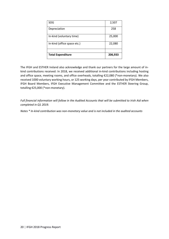| SOG                         | 2,507   |
|-----------------------------|---------|
| Depreciation                | 258     |
| In-kind (voluntary time)    | 25,000  |
| In-kind (office space etc.) | 22,080  |
| <b>Total Expenditure</b>    | 206,933 |
|                             |         |

The IFGH and ESTHER Ireland also acknowledge and thank our partners for the large amount of inkind contributions received: In 2018, we received additional in-kind contributions including hosting and office space, meeting rooms, and office overheads, totalling €22,080 (\*non-monetary). We also received 1000 voluntary working hours, or 125 working days, per year contributed by IFGH Members, IFGH Board Members, IFGH Executive Management Committee and the ESTHER Steering Group, totalling €25,000 (\*non-monetary).

*Full financial information will follow in the Audited Accounts that will be submitted to Irish Aid when completed in Q1 2019.*

*Notes \* In-kind contribution was non-monetary value and is not included in the audited accounts*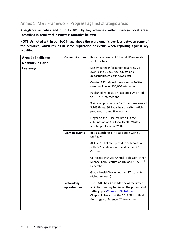# <span id="page-20-0"></span>Annex 1: M&E Framework: Progress against strategic areas

**At-a-glance activities and outputs 2018 by key activities within strategic focal areas (described in detail within Progress Narrative below):**

**NOTE: As noted within our ToC image above there are organic overlaps between some of the activities, which results in some duplication of events when reporting against key activities** 

| Area 1: Facilitate<br><b>Networking and</b> | <b>Communications</b>              | Raised awareness of 51 World Days related<br>to global health                                                                                                                                                                        |
|---------------------------------------------|------------------------------------|--------------------------------------------------------------------------------------------------------------------------------------------------------------------------------------------------------------------------------------|
| <b>Learning</b>                             |                                    | Disseminated information regarding 74<br>events and 12 courses/educational<br>opportunities via our newsletter                                                                                                                       |
|                                             |                                    | Created 312 original messages on Twitter<br>resulting in over 130,000 interactions.                                                                                                                                                  |
|                                             |                                    | Published 75 posts on Facebook which led<br>to 21, 297 interactions.                                                                                                                                                                 |
|                                             |                                    | 9 videos uploaded via YouTube were viewed<br>3,243 times. 30global health writes articles<br>produced around five events                                                                                                             |
|                                             |                                    | Finger on the Pulse: Volume 1 is the<br>culmination of 30 Global Health Writes<br>articles published in 2018                                                                                                                         |
|                                             | <b>Learning events</b>             | Book launch held in association with SLIP<br>$(26th$ July)                                                                                                                                                                           |
|                                             |                                    | AIDS 2018 Follow-up held in collaboration<br>with RCSI and Concern Worldwide (5 <sup>th</sup><br>October)                                                                                                                            |
|                                             |                                    | Co-hosted Irish Aid Annual Professor Father<br>Michael Kelly Lecture on HIV and AIDS (11 <sup>th</sup><br>December)                                                                                                                  |
|                                             |                                    | Global Health Workshops for TY students<br>(February, April)                                                                                                                                                                         |
|                                             | <b>Networking</b><br>opportunities | The IFGH Chair Anne Matthews facilitated<br>an initial meeting to discuss the potential of<br>setting up a Women in Global Health<br>Chapter in Ireland at the 2018 Global Health<br>Exchange Conference (7 <sup>th</sup> November). |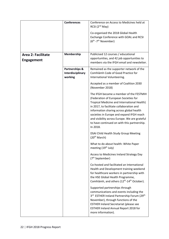|                                                | <b>Conferences</b>                             | Conference on Access to Medicines held at<br>RCSI (2 <sup>nd</sup> May)<br>Co-organised the 2018 Global Health<br>Exchange Conference with GOAL and RCSI<br>(6 <sup>th</sup> -7 <sup>th</sup> November)                                                                                                                                                                          |
|------------------------------------------------|------------------------------------------------|----------------------------------------------------------------------------------------------------------------------------------------------------------------------------------------------------------------------------------------------------------------------------------------------------------------------------------------------------------------------------------|
| <b>Area 2: Facilitate</b><br><b>Engagement</b> | <b>Membership</b>                              | Publicised 12 courses / educational<br>opportunities, and 42 job opportunities to<br>members via the IFGH email and newsletter.                                                                                                                                                                                                                                                  |
|                                                | Partnerships &<br>Interdisciplinary<br>working | Remained as the supporter network of the<br>Comhlámh Code of Good Practice for<br>International Volunteering.                                                                                                                                                                                                                                                                    |
|                                                |                                                | Accepted as a member of Coalition 2030<br>(November 2018)                                                                                                                                                                                                                                                                                                                        |
|                                                |                                                | The IFGH became a member of the FESTMIH<br>(Federation of European Societies for<br>Tropical Medicine and International Health)<br>in 2017, to facilitate collaboration and<br>information sharing across global health<br>societies in Europe and expand IFGH reach<br>and visibility across Europe. We are grateful<br>to have continued on with this partnership.<br>In 2018. |
|                                                |                                                | DSAI Child Health Study Group Meeting<br>(20 <sup>th</sup> March)                                                                                                                                                                                                                                                                                                                |
|                                                |                                                | What to do about health: White Paper<br>meeting (19 <sup>th</sup> July)                                                                                                                                                                                                                                                                                                          |
|                                                |                                                | Access to Medicines Ireland Strategy Day<br>(7 <sup>th</sup> September)                                                                                                                                                                                                                                                                                                          |
|                                                |                                                | Co-hosted and facilitated an International<br>Health and Development training weekend<br>for healthcare workers in partnership with<br>the HSE Global Health Programme,<br>Comhlámh, and others (12 <sup>th</sup> -14 <sup>th</sup> October).                                                                                                                                    |
|                                                |                                                | Supported partnerships through<br>communications and events including the<br>3rd ESTHER Ireland Partnership Forum (29th<br>November), through functions of the<br><b>ESTHER Ireland Secretariat (please see</b><br><b>ESTHER Ireland Annual Report 2018 for</b><br>more information).                                                                                            |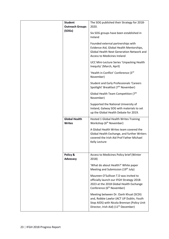| <b>Student</b><br><b>Outreach Groups</b><br>(SOGs) | The SOG published their Strategy for 2018-<br>2020.<br>Six SOG groups have been established in<br>Ireland<br>Founded external partnerships with<br>Evidence Aid, Global Health Mentorships,<br><b>Global Health Next Generation Network and</b><br><b>Access to Medicines Ireland</b><br>UCC Mini-Lecture Series 'Unpacking Health<br>Inequity' (March, April) |
|----------------------------------------------------|----------------------------------------------------------------------------------------------------------------------------------------------------------------------------------------------------------------------------------------------------------------------------------------------------------------------------------------------------------------|
|                                                    | 'Health in Conflict' Conference (3rd<br>November)<br><b>Student and Early Professionals 'Careers</b>                                                                                                                                                                                                                                                           |
|                                                    | Spotlight' Breakfast (7 <sup>th</sup> November)                                                                                                                                                                                                                                                                                                                |
|                                                    | Global Health Team Competition (7 <sup>th</sup><br>November)                                                                                                                                                                                                                                                                                                   |
|                                                    | Supported the National University of<br>Ireland, Galway SOG with materials to set<br>up the Global Health Debate for 2019.                                                                                                                                                                                                                                     |
| <b>Global Health</b><br><b>Writes</b>              | Hosted 1 Global Health Writes Training<br>Workshop (6 <sup>th</sup> November)                                                                                                                                                                                                                                                                                  |
|                                                    | A Global Health Writes team covered the<br>Global Health Exchange, and further Writers<br>covered the Irish Aid Prof Father Michael<br>Kelly Lecture                                                                                                                                                                                                           |
| Policy &<br>Advocacy                               | Access to Medicines Policy brief (Winter<br>2018)                                                                                                                                                                                                                                                                                                              |
|                                                    | 'What do about Health?' White paper<br>Meeting and Submission (19th July)                                                                                                                                                                                                                                                                                      |
|                                                    | Maureen O'Sullivan T.D was invited to<br>officially launch our IFGH Strategy 2018-<br>2023 at the 2018 Global Health Exchange<br>Conference (6 <sup>th</sup> November)                                                                                                                                                                                         |
|                                                    | Meeting between Dr. Oanh Khuat (SCDI)<br>and, Robbie Lawlor (ACT UP Dublin, Youth<br>Stop AIDS) with Nicola Brennan (Policy Unit<br>Director, Irish Aid) (11 <sup>th</sup> December)                                                                                                                                                                           |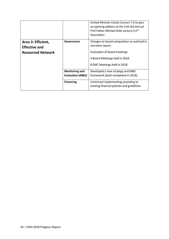|                          |                             | Invited Minister Ciarán Cannon T.D to give<br>an opening address at the Irish Aid Annual<br>Prof Father Michael Kelly Lecture (11 <sup>th</sup><br>December) |
|--------------------------|-----------------------------|--------------------------------------------------------------------------------------------------------------------------------------------------------------|
| Area 3: Efficient,       | Governance                  | Changes to board composition as outlined in                                                                                                                  |
| <b>Effective and</b>     |                             | narrative report.                                                                                                                                            |
| <b>Resourced Network</b> |                             | Evaluation of board meetings                                                                                                                                 |
|                          |                             | 4 Board Meetings held in 2018                                                                                                                                |
|                          |                             | 8 EMC Meetings held in 2018                                                                                                                                  |
|                          | <b>Monitoring and</b>       | Developed a new strategy and M&E                                                                                                                             |
|                          | <b>Evaluation (M&amp;E)</b> | framework (both completed in 2018)                                                                                                                           |
|                          | <b>Financing</b>            | Continued implementing according to                                                                                                                          |
|                          |                             | existing financial policies and guidelines                                                                                                                   |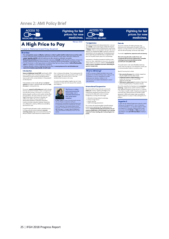## <span id="page-24-0"></span>Annex 2: AMI Policy Brief



Access to Medicines Ireland Policy Document

Overview

Introduction

A High Price to Pay

#### **Fighting for fair** prices for new medicines.



Winter 2018

**MEDICINES IRELAND** 

#### **Transparency**

While the pharmaceutical industry claims that it can cost While the pharmaceutical industry claims that it can cost<br>v up to **C.2 dis** to put a new drug to market, the Drugs for<br>Neglected Diseases initiative (DND) puts this figure closer<br>to **SUSOm**. There is a serious lack of cla

Transparency is therefore necessary to hold the private<br>sector and other stakeholders to account for the impact<br>of their actions on access to medicines. Ireland should<br>add its voice to the global movement advocating for greater transpare

#### What is AMI doing?

**FIGURE 10 FOR A POSITION CONTROL**<br>In 2017, an Access to Medicines freland motion was<br>Government to insist on the induced Crygonization calling on the<br>Government to insist on transportancy from the<br>momental industry in wid

#### **International Cooperation**

The comment of the power and the properties of the comment of pining the **SeMeLuxA** initiative. Together with Belgium, The Netherlands, Luxembourg and Austral this inter-<br>governmental collaboration aims to increase<br>transpa

• Information sharing and policy exchange - Joint price negotiations<br>- Horizon scanning<br>- Health technology assessments

This initiative will greatly strengthen lieland's strategic This interactive will generally the pharmaceutical<br>position when negotiality with the pharmaceutical<br>industry. We hope that this at op will mark the start of<br>greater collaboration at EU and global level, and that<br>Ireland nzines

#### **Patents**

The current incentive of market exclusivity in the<br>pharmaceutical industry grants the patent holder the<br>freedom to charge whatever price the market can bear,<br>which for life-saving drugs can be very high indeed.

**Fighting for fair** 

prices for new medicines.

This model is explaitative, expert

# Alternative incentives for needs-driven and<br>transparent R&D should be implemented. Examples<br>include grants, prizes and advance market<br>commitments from public funds.

This would result in a far more affordable medicines priced closer to production cost without the need to pay<br>a commercial patent holder an exorbitant price.

Specific licensing tools include:

- $\begin{array}{ll} \bullet\quad \textbf{Non-exclusive \textbf{ is a}mas} \textbf{no} \\ \textbf{or the market and drive down prices,} \\ \bullet\quad \textbf{the market and drive down prices,} \\ \textbf{no's poly-free \textbf{ less}~for only right and random is over \textit{only} \\ \textbf{or polyt-free \textbf{ less}~for no-lor profit R\'AD} \\ \bullet\quad \textbf{Public \textbf{is}~for by} \\ \bullet\quad \textbf{Public \textbf{is}~for by} \\ \textbf{no: the profit move the post in other 0 of the pharm and industry.} \end{array}$
- 

move the protification of the phorma industry.<br>One of the most effective licensing tools is **examplesory**<br>**lisensing**, a legal proces wated to override a patent<br>when deemed necessary to exame cocess to a medicine<br>in the hi

#### **Hepatitis C**

**Hopartists Control (State Control of the Control of the Control of the Control of the Control of the Control of the Control of the Control of the Control of the Control of the Control of the Control of the Control of the** 

The ocality of the state in the state of the state of the state of the state is the state of the state of the state of the barriers to access are many, and AMI focuses on issues caused by the commercialisation of drug rese and develop

These problems can be broadly defined as **a lack of**<br>**research** into areas of greatest health need and **a**<br>**of access** to existing medicines.

The current research and development model is largely diven by commercial interests. A major consequence of the profit-driven system is that these is no incentive to the develop drug of the combined from the profit-driven

This profit-motivated system results in exorbitant prices ins prori-moreau system resurs in exarcitant processes<br>for drugs, particular cancer treatments, **severely**<br>reatriating access. High prices are levied because the<br>exclusive patents of pharmaceutical companies allow

25 **|** IFGH 2018 Progress Report

them to charge as they please. The increasing prices for<br>new medicines put an ever-greater strain on the overall<br>health budget. The solution is not to ration the<br>medication but to secure a fair price.

This policy document gathers together key and timely<br>information on these and other issues of fair access to<br>new medicines.



**Drillen' Henn** is alonyer and public head in odeocote with one 30 years of organization of public head in observation of the organization of the conditional public condition of the public of the distribution of the Unive



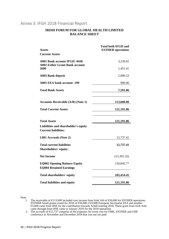## <span id="page-25-0"></span>Annex 3: IFGH 2018 Financial Report

#### **IRISH FORUM FOR GLOBAL HEALTH LIMITED BALANCE SHEET**

| <b>Assets</b>                                                                | <b>Total both IFGH and</b><br><b>ESTHER</b> operations |
|------------------------------------------------------------------------------|--------------------------------------------------------|
| <b>Current Assets</b>                                                        |                                                        |
| <b>A001 Bank account IFGH -0436</b><br><b>A002 Esther Grant-Bank account</b> | 3,239.02                                               |
| 2600                                                                         | 1,451.41                                               |
| <b>A003 Bank deposit</b>                                                     | 2,000.53                                               |
| <b>A005 EEA bank account -199</b>                                            | 900.90                                                 |
| Total Bank Assets                                                            | 7,591.86                                               |
| <b>Accounts Receivable (A/R) (Note 1)</b>                                    | 113,600.00                                             |
| <b>Total Current Assets</b>                                                  | 121,191.86                                             |
| <b>Total Assets</b>                                                          | 121,191.86                                             |
| Liabilities and shareholder's equity<br><b>Current liabilities:</b>          |                                                        |
| L001 Accruals (Note 2)                                                       | 15,737.41                                              |
| Total current liabilities<br><b>Shareholders' equity:</b>                    | 15,737.41                                              |
| <b>Net Income</b>                                                            | (15,391.32)                                            |
| <b>EQ002 Opening Balance Equity</b><br><b>EQ004 Retained Earnings</b>        | 120,845.77                                             |
| <b>Total shareholders' equity</b>                                            | 105,454.45                                             |
| <b>Total liabilities and equity</b>                                          | 121,191.86                                             |

Note:

- 1. The receivable of €113,600 included core income from Irish Aid of €50,000 for ESTHER operations, ESTHER Small grants round for 2018 of €50,000, €10,000 European Secretariat EEA and another €3,600 came from HSE for the contribution towards Achill training 2018. These grant from Irish Aids came through from HSE came in January 2019 for the 2018 operations
- 2. The accruals of €15,737 comprise of the expenses for event cost for FMK, ESTHER and GHE conference in November and December 2018 that was not yet paid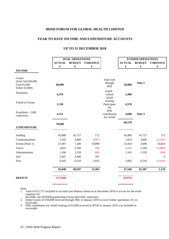#### **IRISH FORUM FOR GLOBAL HEALTH LIMITED**

#### **YEAR TO DATE INCOME AND EXPENDITURE ACCOUNTS**

#### **UP TO 31 DECEMBER 2018**

|                                                                                | <b>IFGH OPERATIONS</b> |               |                 | <b>ESTHER OPERATIONS</b>                   |               |               |                 |
|--------------------------------------------------------------------------------|------------------------|---------------|-----------------|--------------------------------------------|---------------|---------------|-----------------|
|                                                                                | <b>ACTUAL</b>          | <b>BUDGET</b> | <b>VARIANCE</b> |                                            | <b>ACTUAL</b> | <b>BUDGET</b> | <b>VARIANCE</b> |
|                                                                                | €                      | €             | €               |                                            | €             | €             | €               |
| <b>INCOME</b>                                                                  |                        |               |                 |                                            |               |               |                 |
| Grants<br>(Irish Aid €60,000<br>Goal $\bigoplus$ ,000<br>Esther $\text{E},000$ | 68,000                 |               |                 | <b>Irish Aids</b><br>through<br><b>HSE</b> | 50,000        | Note 2        |                 |
| Donations                                                                      | 4,378                  |               |                 | Achill-<br>refund                          | 2,400         |               |                 |
| Friend of Forum                                                                | 2,150                  |               |                 | Achill<br>training<br>Participant<br>fee   | 4,570         |               |                 |
| Eventbrite - GHE<br>conference                                                 | 4,152                  |               |                 | <b>HSE</b><br>contribution<br>for Achill   | 3,600         | Note 3        |                 |
| <b>EXPENDITURE</b>                                                             | 78,680                 |               |                 |                                            | 60,570        |               |                 |
| Staffing                                                                       | 45,899                 | 45,727        | 172             |                                            | 45,899        | 45,727        | 172             |
| Communications                                                                 | 3,103                  | 3,800         | (697)           |                                            | 1,653         | 3,800         | (2, 147)        |
| Events (Note 1)                                                                | 27,097                 | 7,200         | 19,898          |                                            | 13,810        | 3,000         | 10,810          |
| Travel                                                                         | 2,831                  | 2,100         | 731             |                                            | 1,111         | 5,100         | (3,989)         |
| Administration                                                                 | 1,166                  | 1,250         | (84)            |                                            | 1,181         | 1,250         | (69)            |
| SoG                                                                            | 2,507                  | 2,000         | 507             |                                            |               |               | $\overline{0}$  |
| Fees                                                                           | 9,445                  | 6,510         | 2,935           |                                            | 3,892         | 6,510         | (2,618)         |
|                                                                                | 92,048                 | 68,587        | 23,463          |                                            | 67,546        | 65,387        | 2,159           |
| <b>DEFICIT</b>                                                                 | (13, 368)              |               |                 |                                            | (6,976)       |               |                 |

Note:

- 1. Total of €15,737 included in accruals (see Balance sheet) as at December 2018 to accrue for the event expenses for
	- the FMK, the ESTHER partnership Forum and GHE conference
- 2. Esther Grants of €50,000 received through HSE in January 2019 to cover Esther operations. It's in receivable
- 3. HSE contribution for Achill training of €3,600 received in IFGH in January 2019 was included in receivable